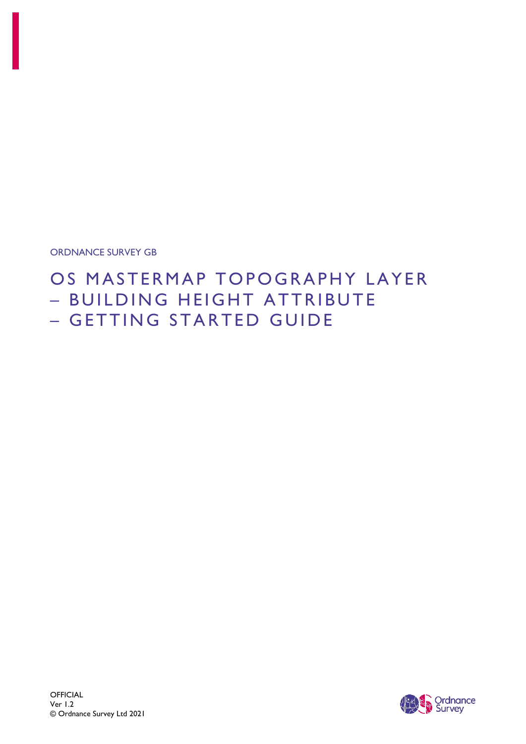ORDNANCE SURVEY GB

# OS MASTERMAP TOPOGRAPHY LAYER – BUILDING HEIGHT ATTRIBUTE – GETTING STARTED GUIDE

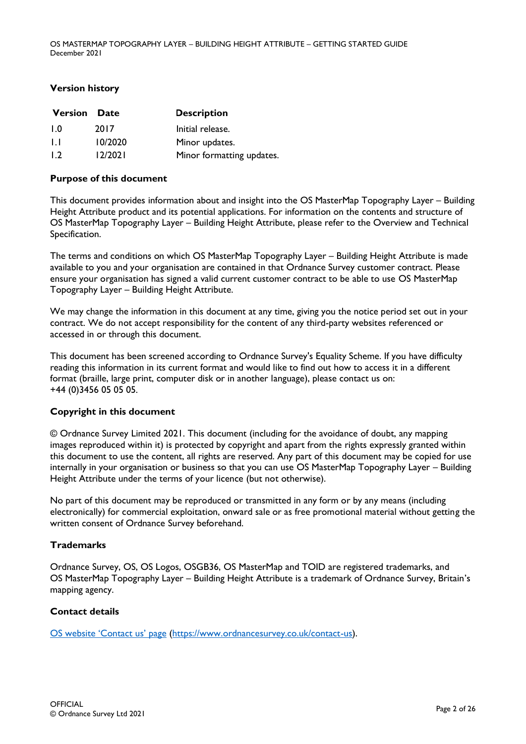#### **Version history**

| <b>Version Date</b> |         | <b>Description</b>        |
|---------------------|---------|---------------------------|
| 1.0                 | 2017    | Initial release.          |
| 1.1                 | 10/2020 | Minor updates.            |
| 1.2                 | 12/2021 | Minor formatting updates. |

#### **Purpose of this document**

This document provides information about and insight into the OS MasterMap Topography Layer – Building Height Attribute product and its potential applications. For information on the contents and structure of OS MasterMap Topography Layer – Building Height Attribute, please refer to the Overview and Technical Specification.

The terms and conditions on which OS MasterMap Topography Layer – Building Height Attribute is made available to you and your organisation are contained in that Ordnance Survey customer contract. Please ensure your organisation has signed a valid current customer contract to be able to use OS MasterMap Topography Layer – Building Height Attribute.

We may change the information in this document at any time, giving you the notice period set out in your contract. We do not accept responsibility for the content of any third-party websites referenced or accessed in or through this document.

This document has been screened according to Ordnance Survey's Equality Scheme. If you have difficulty reading this information in its current format and would like to find out how to access it in a different format (braille, large print, computer disk or in another language), please contact us on: +44 (0)3456 05 05 05.

### **Copyright in this document**

© Ordnance Survey Limited 2021. This document (including for the avoidance of doubt, any mapping images reproduced within it) is protected by copyright and apart from the rights expressly granted within this document to use the content, all rights are reserved. Any part of this document may be copied for use internally in your organisation or business so that you can use OS MasterMap Topography Layer – Building Height Attribute under the terms of your licence (but not otherwise).

No part of this document may be reproduced or transmitted in any form or by any means (including electronically) for commercial exploitation, onward sale or as free promotional material without getting the written consent of Ordnance Survey beforehand.

### **Trademarks**

Ordnance Survey, OS, OS Logos, OSGB36, OS MasterMap and TOID are registered trademarks, and OS MasterMap Topography Layer – Building Height Attribute is a trademark of Ordnance Survey, Britain's mapping agency.

### **Contact details**

[OS website 'C](https://www.ordnancesurvey.co.uk/contact-us)ontact us' page [\(https://www.ordnancesurvey.co.uk/contact-us\)](https://www.ordnancesurvey.co.uk/contact-us).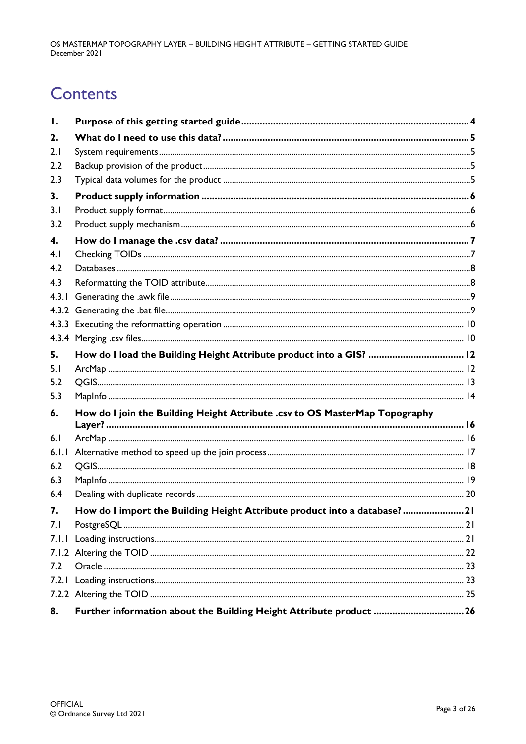# **Contents**

| Ι.    |                                                                             |  |
|-------|-----------------------------------------------------------------------------|--|
| 2.    |                                                                             |  |
| 2.1   |                                                                             |  |
| 2.2   |                                                                             |  |
| 2.3   |                                                                             |  |
| 3.    |                                                                             |  |
| 3.1   |                                                                             |  |
| 3.2   |                                                                             |  |
| 4.    |                                                                             |  |
| 4.1   |                                                                             |  |
| 4.2   |                                                                             |  |
| 4.3   |                                                                             |  |
| 4.3.1 |                                                                             |  |
|       |                                                                             |  |
|       |                                                                             |  |
|       |                                                                             |  |
| 5.    | How do I load the Building Height Attribute product into a GIS?  12         |  |
| 5.1   |                                                                             |  |
| 5.2   |                                                                             |  |
| 5.3   |                                                                             |  |
| 6.    | How do I join the Building Height Attribute .csv to OS MasterMap Topography |  |
| 6.1   |                                                                             |  |
| 6.1.1 |                                                                             |  |
| 6.2   |                                                                             |  |
| 6.3   |                                                                             |  |
| 6.4   |                                                                             |  |
| 7.    | How do I import the Building Height Attribute product into a database? 21   |  |
| 7.1   |                                                                             |  |
| 7.1.1 |                                                                             |  |
|       |                                                                             |  |
| 7.2   |                                                                             |  |
| 7.2.1 |                                                                             |  |
|       |                                                                             |  |
| 8.    | Further information about the Building Height Attribute product 26          |  |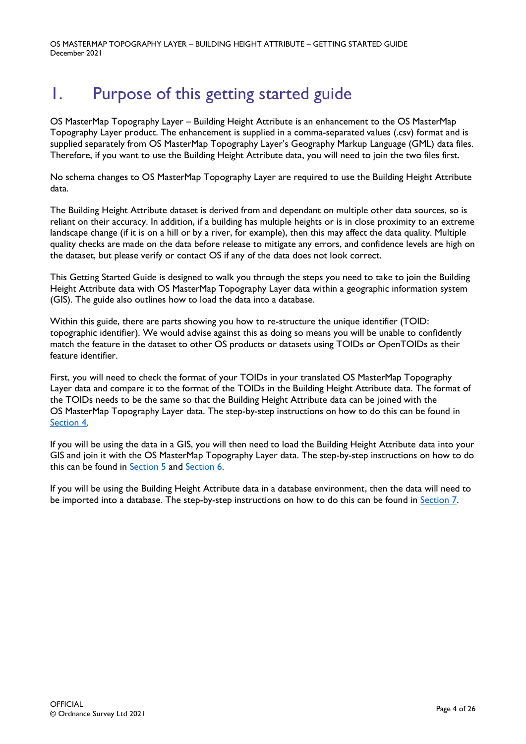# <span id="page-3-0"></span>1. Purpose of this getting started guide

OS MasterMap Topography Layer – Building Height Attribute is an enhancement to the OS MasterMap Topography Layer product. The enhancement is supplied in a comma-separated values (.csv) format and is supplied separately from OS MasterMap Topography Layer's Geography Markup Language (GML) data files. Therefore, if you want to use the Building Height Attribute data, you will need to join the two files first.

No schema changes to OS MasterMap Topography Layer are required to use the Building Height Attribute data.

The Building Height Attribute dataset is derived from and dependant on multiple other data sources, so is reliant on their accuracy. In addition, if a building has multiple heights or is in close proximity to an extreme landscape change (if it is on a hill or by a river, for example), then this may affect the data quality. Multiple quality checks are made on the data before release to mitigate any errors, and confidence levels are high on the dataset, but please verify or contact OS if any of the data does not look correct.

This Getting Started Guide is designed to walk you through the steps you need to take to join the Building Height Attribute data with OS MasterMap Topography Layer data within a geographic information system (GIS). The guide also outlines how to load the data into a database.

Within this guide, there are parts showing you how to re-structure the unique identifier (TOID: topographic identifier). We would advise against this as doing so means you will be unable to confidently match the feature in the dataset to other OS products or datasets using TOIDs or OpenTOIDs as their feature identifier.

First, you will need to check the format of your TOIDs in your translated OS MasterMap Topography Layer data and compare it to the format of the TOIDs in the Building Height Attribute data. The format of the TOIDs needs to be the same so that the Building Height Attribute data can be joined with the OS MasterMap Topography Layer data. The step-by-step instructions on how to do this can be found in [Section 4.](#page-6-0)

If you will be using the data in a GIS, you will then need to load the Building Height Attribute data into your GIS and join it with the OS MasterMap Topography Layer data. The step-by-step instructions on how to do this can be found in [Section 5](#page-11-0) and [Section 6.](#page-15-0)

If you will be using the Building Height Attribute data in a database environment, then the data will need to be imported into a database. The step-by-step instructions on how to do this can be found in [Section 7.](#page-20-0)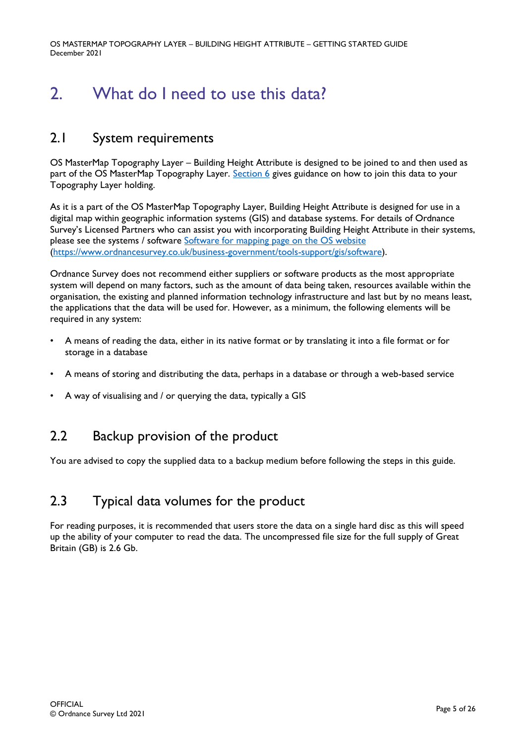# <span id="page-4-0"></span>2. What do I need to use this data?

## <span id="page-4-1"></span>2.1 System requirements

OS MasterMap Topography Layer – Building Height Attribute is designed to be joined to and then used as part of the OS MasterMap Topography Layer. [Section 6](#page-15-0) gives guidance on how to join this data to your Topography Layer holding.

As it is a part of the OS MasterMap Topography Layer, Building Height Attribute is designed for use in a digital map within geographic information systems (GIS) and database systems. For details of Ordnance Survey's Licensed Partners who can assist you with incorporating Building Height Attribute in their systems, please see the systems / software Software for mapping [page on the OS website](https://www.ordnancesurvey.co.uk/business-government/tools-support/gis/software) [\(https://www.ordnancesurvey.co.uk/business-government/tools-support/gis/software\)](https://www.ordnancesurvey.co.uk/business-government/tools-support/gis/software).

Ordnance Survey does not recommend either suppliers or software products as the most appropriate system will depend on many factors, such as the amount of data being taken, resources available within the organisation, the existing and planned information technology infrastructure and last but by no means least, the applications that the data will be used for. However, as a minimum, the following elements will be required in any system:

- A means of reading the data, either in its native format or by translating it into a file format or for storage in a database
- A means of storing and distributing the data, perhaps in a database or through a web-based service
- A way of visualising and / or querying the data, typically a GIS

## <span id="page-4-2"></span>2.2 Backup provision of the product

You are advised to copy the supplied data to a backup medium before following the steps in this guide.

## <span id="page-4-3"></span>2.3 Typical data volumes for the product

For reading purposes, it is recommended that users store the data on a single hard disc as this will speed up the ability of your computer to read the data. The uncompressed file size for the full supply of Great Britain (GB) is 2.6 Gb.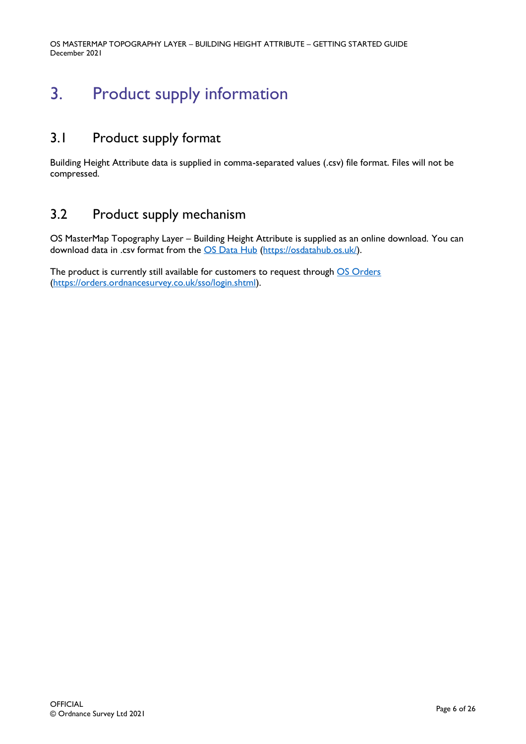# <span id="page-5-0"></span>3. Product supply information

## <span id="page-5-1"></span>3.1 Product supply format

Building Height Attribute data is supplied in comma-separated values (.csv) file format. Files will not be compressed.

## <span id="page-5-2"></span>3.2 Product supply mechanism

OS MasterMap Topography Layer – Building Height Attribute is supplied as an online download. You can download data in .csv format from the [OS Data Hub](https://osdatahub.os.uk/) [\(https://osdatahub.os.uk/\)](https://osdatahub.os.uk/).

The product is currently still available for customers to request through OS [Orders](https://orders.ordnancesurvey.co.uk/sso/login.shtml) [\(https://orders.ordnancesurvey.co.uk/sso/login.shtml\)](https://orders.ordnancesurvey.co.uk/sso/login.shtml).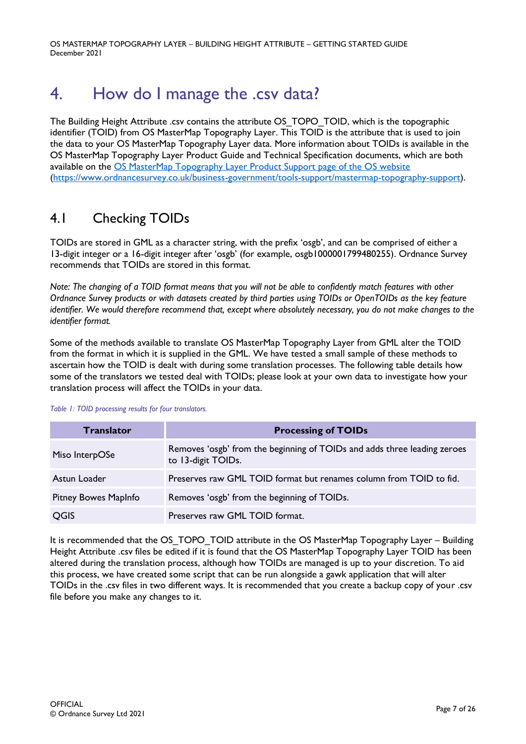# <span id="page-6-0"></span>4. How do I manage the .csv data?

The Building Height Attribute .csv contains the attribute OS\_TOPO\_TOID, which is the topographic identifier (TOID) from OS MasterMap Topography Layer. This TOID is the attribute that is used to join the data to your OS MasterMap Topography Layer data. More information about TOIDs is available in the OS MasterMap Topography Layer Product Guide and Technical Specification documents, which are both available on the OS [MasterMap Topography Layer Product Support page of the OS website](https://www.ordnancesurvey.co.uk/business-government/tools-support/mastermap-topography-support) [\(https://www.ordnancesurvey.co.uk/business-government/tools-support/mastermap-topography-support\)](https://www.ordnancesurvey.co.uk/business-government/tools-support/mastermap-topography-support).

## <span id="page-6-1"></span>4.1 Checking TOIDs

TOIDs are stored in GML as a character string, with the prefix 'osgb', and can be comprised of either a 13-digit integer or a 16-digit integer after 'osgb' (for example, osgb1000001799480255). Ordnance Survey recommends that TOIDs are stored in this format.

*Note: The changing of a TOID format means that you will not be able to confidently match features with other Ordnance Survey products or with datasets created by third parties using TOIDs or OpenTOIDs as the key feature identifier. We would therefore recommend that, except where absolutely necessary, you do not make changes to the identifier format.*

Some of the methods available to translate OS MasterMap Topography Layer from GML alter the TOID from the format in which it is supplied in the GML. We have tested a small sample of these methods to ascertain how the TOID is dealt with during some translation processes. The following table details how some of the translators we tested deal with TOIDs; please look at your own data to investigate how your translation process will affect the TOIDs in your data.

#### *Table 1: TOID processing results for four translators.*

| <b>Translator</b>    | <b>Processing of TOIDs</b>                                                                     |
|----------------------|------------------------------------------------------------------------------------------------|
| Miso InterpOSe       | Removes 'osgb' from the beginning of TOIDs and adds three leading zeroes<br>to 13-digit TOIDs. |
| Astun Loader         | Preserves raw GML TOID format but renames column from TOID to fid.                             |
| Pitney Bowes MapInfo | Removes 'osgb' from the beginning of TOIDs.                                                    |
| QGIS                 | Preserves raw GML TOID format.                                                                 |

It is recommended that the OS\_TOPO\_TOID attribute in the OS MasterMap Topography Layer – Building Height Attribute .csv files be edited if it is found that the OS MasterMap Topography Layer TOID has been altered during the translation process, although how TOIDs are managed is up to your discretion. To aid this process, we have created some script that can be run alongside a gawk application that will alter TOIDs in the .csv files in two different ways. It is recommended that you create a backup copy of your .csv file before you make any changes to it.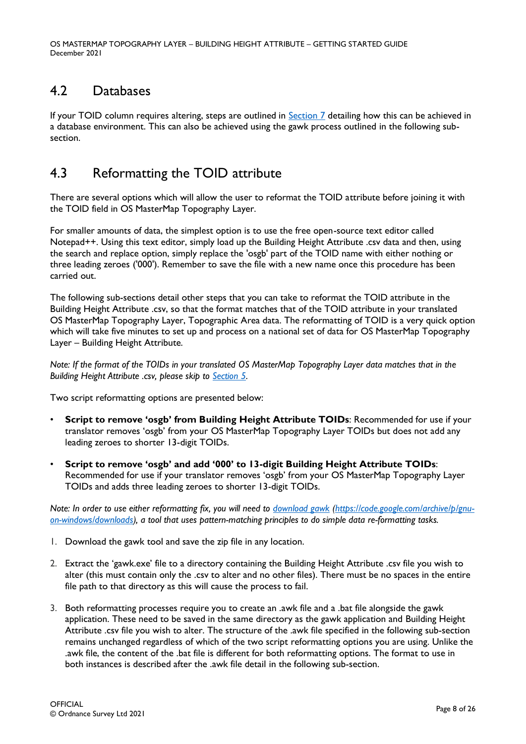# <span id="page-7-0"></span>4.2 Databases

If your TOID column requires altering, steps are outlined in [Section 7](#page-20-0) detailing how this can be achieved in a database environment. This can also be achieved using the gawk process outlined in the following subsection.

## <span id="page-7-1"></span>4.3 Reformatting the TOID attribute

There are several options which will allow the user to reformat the TOID attribute before joining it with the TOID field in OS MasterMap Topography Layer.

For smaller amounts of data, the simplest option is to use the free open-source text editor called Notepad++. Using this text editor, simply load up the Building Height Attribute .csv data and then, using the search and replace option, simply replace the 'osgb' part of the TOID name with either nothing or three leading zeroes ('000'). Remember to save the file with a new name once this procedure has been carried out.

The following sub-sections detail other steps that you can take to reformat the TOID attribute in the Building Height Attribute .csv, so that the format matches that of the TOID attribute in your translated OS MasterMap Topography Layer, Topographic Area data. The reformatting of TOID is a very quick option which will take five minutes to set up and process on a national set of data for OS MasterMap Topography Layer – Building Height Attribute.

*Note: If the format of the TOIDs in your translated OS MasterMap Topography Layer data matches that in the Building Height Attribute .csv, please skip to [Section 5.](#page-11-0)*

Two script reformatting options are presented below:

- **Script to remove 'osgb' from Building Height Attribute TOIDs**: Recommended for use if your translator removes 'osgb' from your OS MasterMap Topography Layer TOIDs but does not add any leading zeroes to shorter 13-digit TOIDs.
- **Script to remove 'osgb' and add '000' to 13-digit Building Height Attribute TOIDs**: Recommended for use if your translator removes 'osgb' from your OS MasterMap Topography Layer TOIDs and adds three leading zeroes to shorter 13-digit TOIDs.

*Note: In order to use either reformatting fix, you will need to [download gawk](https://code.google.com/archive/p/gnu-on-windows/downloads) [\(https://code.google.com/archive/p/gnu](https://code.google.com/archive/p/gnu-on-windows/downloads)[on-windows/downloads\)](https://code.google.com/archive/p/gnu-on-windows/downloads), a tool that uses pattern-matching principles to do simple data re-formatting tasks.*

- 1. Download the gawk tool and save the zip file in any location.
- 2. Extract the 'gawk.exe' file to a directory containing the Building Height Attribute .csv file you wish to alter (this must contain only the .csv to alter and no other files). There must be no spaces in the entire file path to that directory as this will cause the process to fail.
- 3. Both reformatting processes require you to create an .awk file and a .bat file alongside the gawk application. These need to be saved in the same directory as the gawk application and Building Height Attribute .csv file you wish to alter. The structure of the .awk file specified in the following sub-section remains unchanged regardless of which of the two script reformatting options you are using. Unlike the .awk file, the content of the .bat file is different for both reformatting options. The format to use in both instances is described after the .awk file detail in the following sub-section.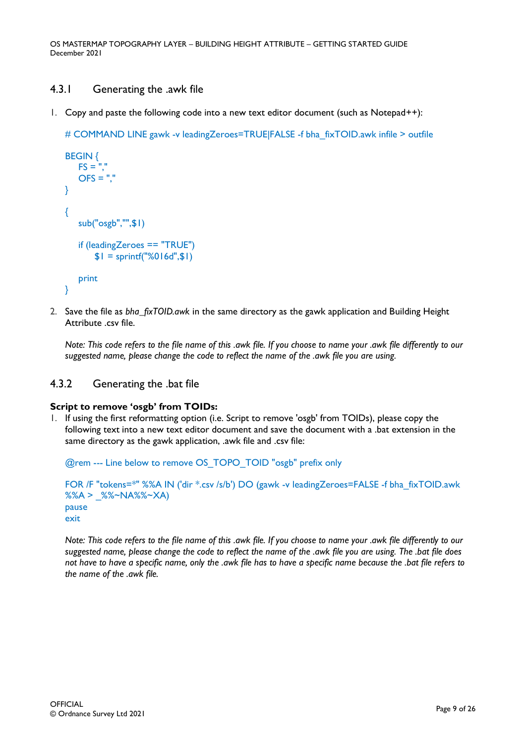## <span id="page-8-0"></span>4.3.1 Generating the .awk file

1. Copy and paste the following code into a new text editor document (such as Notepad++):

# COMMAND LINE gawk -v leadingZeroes=TRUE|FALSE -f bha\_fixTOID.awk infile > outfile

```
BEGIN { 
   FS =<sup>"","</sup>
   OFS = "."
} 
{ 
    sub("osgb","",$1) 
    if (leadingZeroes == "TRUE") 
        $1 =sprintf("%016d",$1)
    print 
}
```
2. Save the file as *bha\_fixTOID.awk* in the same directory as the gawk application and Building Height Attribute .csv file.

*Note: This code refers to the file name of this .awk file. If you choose to name your .awk file differently to our suggested name, please change the code to reflect the name of the .awk file you are using.*

### <span id="page-8-1"></span>4.3.2 Generating the .bat file

#### **Script to remove 'osgb' from TOIDs:**

1. If using the first reformatting option (i.e. Script to remove 'osgb' from TOIDs), please copy the following text into a new text editor document and save the document with a .bat extension in the same directory as the gawk application, .awk file and .csv file:

@rem --- Line below to remove OS\_TOPO\_TOID "osgb" prefix only

```
FOR /F "tokens=*" %%A IN ('dir *.csv /s/b') DO (gawk -v leadingZeroes=FALSE -f bha_fixTOID.awk 
%%A > _%%~NA%%~XA) 
pause
exit
```
*Note: This code refers to the file name of this .awk file. If you choose to name your .awk file differently to our suggested name, please change the code to reflect the name of the .awk file you are using. The .bat file does not have to have a specific name, only the .awk file has to have a specific name because the .bat file refers to the name of the .awk file.*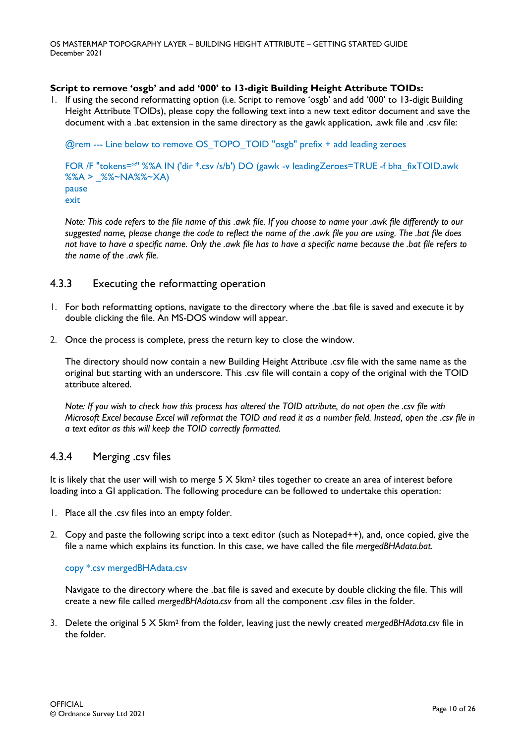#### **Script to remove 'osgb' and add '000' to 13-digit Building Height Attribute TOIDs:**

1. If using the second reformatting option (i.e. Script to remove 'osgb' and add '000' to 13-digit Building Height Attribute TOIDs), please copy the following text into a new text editor document and save the document with a .bat extension in the same directory as the gawk application, .awk file and .csv file:

@rem --- Line below to remove OS\_TOPO\_TOID "osgb" prefix + add leading zeroes

FOR /F "tokens=\*" %%A IN ('dir \*.csv /s/b') DO (gawk -v leadingZeroes=TRUE -f bha\_fixTOID.awk  $% A >$   $% -N$ A $% -X$ A) pause exit

*Note: This code refers to the file name of this .awk file. If you choose to name your .awk file differently to our suggested name, please change the code to reflect the name of the .awk file you are using. The .bat file does not have to have a specific name. Only the .awk file has to have a specific name because the .bat file refers to the name of the .awk file.*

### <span id="page-9-0"></span>4.3.3 Executing the reformatting operation

- 1. For both reformatting options, navigate to the directory where the .bat file is saved and execute it by double clicking the file. An MS-DOS window will appear.
- 2. Once the process is complete, press the return key to close the window.

The directory should now contain a new Building Height Attribute .csv file with the same name as the original but starting with an underscore. This .csv file will contain a copy of the original with the TOID attribute altered.

*Note: If you wish to check how this process has altered the TOID attribute, do not open the .csv file with Microsoft Excel because Excel will reformat the TOID and read it as a number field. Instead, open the .csv file in a text editor as this will keep the TOID correctly formatted.*

### <span id="page-9-1"></span>4.3.4 Merging .csv files

It is likely that the user will wish to merge  $5 \times 5 \text{km}^2$  tiles together to create an area of interest before loading into a GI application. The following procedure can be followed to undertake this operation:

- 1. Place all the .csv files into an empty folder.
- 2. Copy and paste the following script into a text editor (such as Notepad++), and, once copied, give the file a name which explains its function. In this case, we have called the file *mergedBHAdata.bat*.

#### copy \*.csv mergedBHAdata.csv

Navigate to the directory where the .bat file is saved and execute by double clicking the file. This will create a new file called *mergedBHAdata.csv* from all the component .csv files in the folder.

3. Delete the original 5 X 5km<sup>2</sup> from the folder, leaving just the newly created *mergedBHAdata.csv* file in the folder.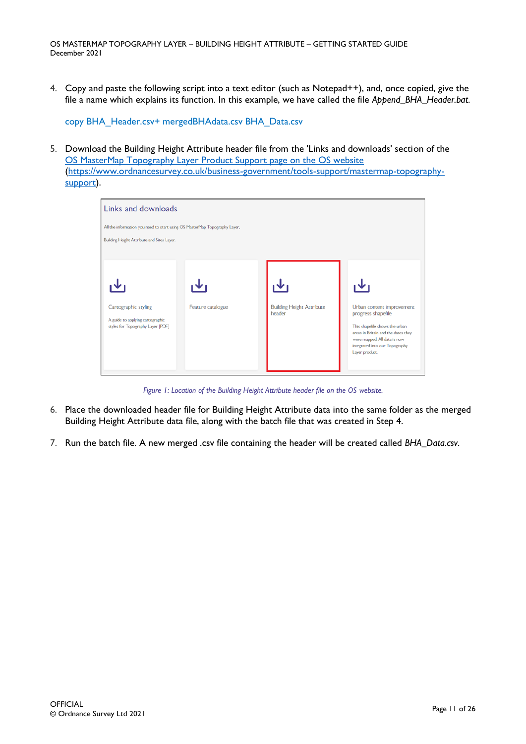4. Copy and paste the following script into a text editor (such as Notepad++), and, once copied, give the file a name which explains its function. In this example, we have called the file *Append\_BHA\_Header.bat*.

copy BHA\_Header.csv+ mergedBHAdata.csv BHA\_Data.csv

5. Download the Building Height Attribute header file from the 'Links and downloads' section of the OS [MasterMap Topography Layer Product Support page on the OS website](https://www.ordnancesurvey.co.uk/business-government/tools-support/mastermap-topography-support) [\(https://www.ordnancesurvey.co.uk/business-government/tools-support/mastermap-topography](https://www.ordnancesurvey.co.uk/business-government/tools-support/mastermap-topography-support)[support\)](https://www.ordnancesurvey.co.uk/business-government/tools-support/mastermap-topography-support).



*Figure 1: Location of the Building Height Attribute header file on the OS website.*

- 6. Place the downloaded header file for Building Height Attribute data into the same folder as the merged Building Height Attribute data file, along with the batch file that was created in Step 4.
- 7. Run the batch file. A new merged .csv file containing the header will be created called *BHA\_Data.csv*.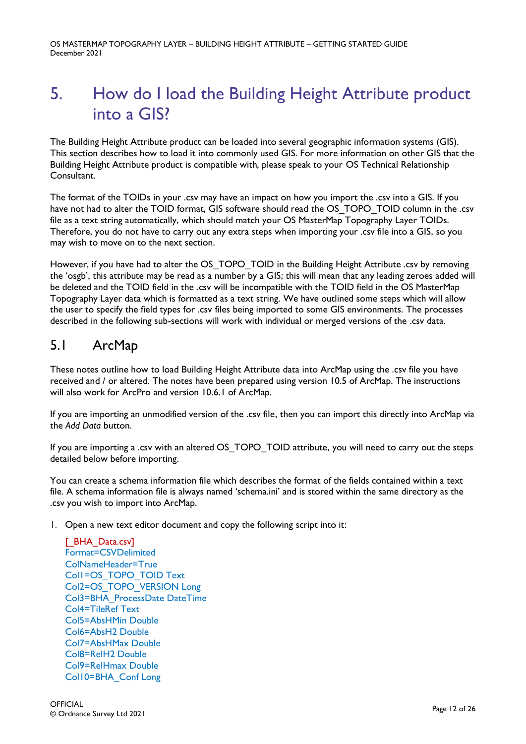# <span id="page-11-0"></span>5. How do I load the Building Height Attribute product into a GIS?

The Building Height Attribute product can be loaded into several geographic information systems (GIS). This section describes how to load it into commonly used GIS. For more information on other GIS that the Building Height Attribute product is compatible with, please speak to your OS Technical Relationship Consultant.

The format of the TOIDs in your .csv may have an impact on how you import the .csv into a GIS. If you have not had to alter the TOID format, GIS software should read the OS\_TOPO\_TOID column in the .csv file as a text string automatically, which should match your OS MasterMap Topography Layer TOIDs. Therefore, you do not have to carry out any extra steps when importing your .csv file into a GIS, so you may wish to move on to the next section.

However, if you have had to alter the OS\_TOPO\_TOID in the Building Height Attribute .csv by removing the 'osgb', this attribute may be read as a number by a GIS; this will mean that any leading zeroes added will be deleted and the TOID field in the .csv will be incompatible with the TOID field in the OS MasterMap Topography Layer data which is formatted as a text string. We have outlined some steps which will allow the user to specify the field types for .csv files being imported to some GIS environments. The processes described in the following sub-sections will work with individual or merged versions of the .csv data.

## <span id="page-11-1"></span>5.1 ArcMap

These notes outline how to load Building Height Attribute data into ArcMap using the .csv file you have received and / or altered. The notes have been prepared using version 10.5 of ArcMap. The instructions will also work for ArcPro and version 10.6.1 of ArcMap.

If you are importing an unmodified version of the .csv file, then you can import this directly into ArcMap via the *Add Data* button.

If you are importing a .csv with an altered OS\_TOPO\_TOID attribute, you will need to carry out the steps detailed below before importing.

You can create a schema information file which describes the format of the fields contained within a text file. A schema information file is always named 'schema.ini' and is stored within the same directory as the .csv you wish to import into ArcMap.

1. Open a new text editor document and copy the following script into it:

[ BHA Data.csv] Format=CSVDelimited ColNameHeader=True Col1=OS\_TOPO\_TOID Text Col2=OS\_TOPO\_VERSION Long Col3=BHA\_ProcessDate DateTime Col4=TileRef Text Col5=AbsHMin Double Col6=AbsH2 Double Col7=AbsHMax Double Col8=RelH2 Double Col9=RelHmax Double Col10=BHA\_Conf Long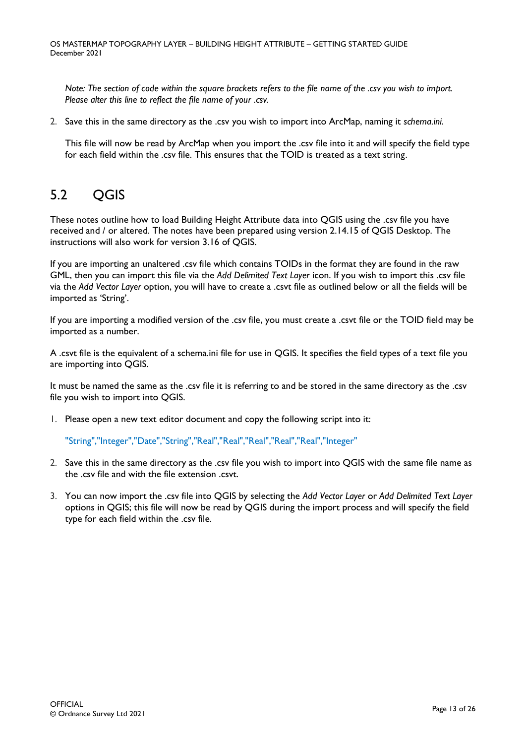*Note: The section of code within the square brackets refers to the file name of the .csv you wish to import. Please alter this line to reflect the file name of your .csv.*

2. Save this in the same directory as the .csv you wish to import into ArcMap, naming it *schema.ini*.

This file will now be read by ArcMap when you import the .csv file into it and will specify the field type for each field within the .csv file. This ensures that the TOID is treated as a text string.

# <span id="page-12-0"></span>5.2 OGIS

These notes outline how to load Building Height Attribute data into QGIS using the .csv file you have received and / or altered. The notes have been prepared using version 2.14.15 of QGIS Desktop. The instructions will also work for version 3.16 of QGIS.

If you are importing an unaltered .csv file which contains TOIDs in the format they are found in the raw GML, then you can import this file via the *Add Delimited Text Layer* icon. If you wish to import this .csv file via the *Add Vector Layer* option, you will have to create a .csvt file as outlined below or all the fields will be imported as 'String'.

If you are importing a modified version of the .csv file, you must create a .csvt file or the TOID field may be imported as a number.

A .csvt file is the equivalent of a schema.ini file for use in QGIS. It specifies the field types of a text file you are importing into QGIS.

It must be named the same as the .csv file it is referring to and be stored in the same directory as the .csv file you wish to import into QGIS.

1. Please open a new text editor document and copy the following script into it:

"String","Integer","Date","String","Real","Real","Real","Real","Real","Integer"

- 2. Save this in the same directory as the .csv file you wish to import into QGIS with the same file name as the .csv file and with the file extension .csvt.
- 3. You can now import the .csv file into QGIS by selecting the *Add Vector Layer* or *Add Delimited Text Layer* options in QGIS; this file will now be read by QGIS during the import process and will specify the field type for each field within the .csv file.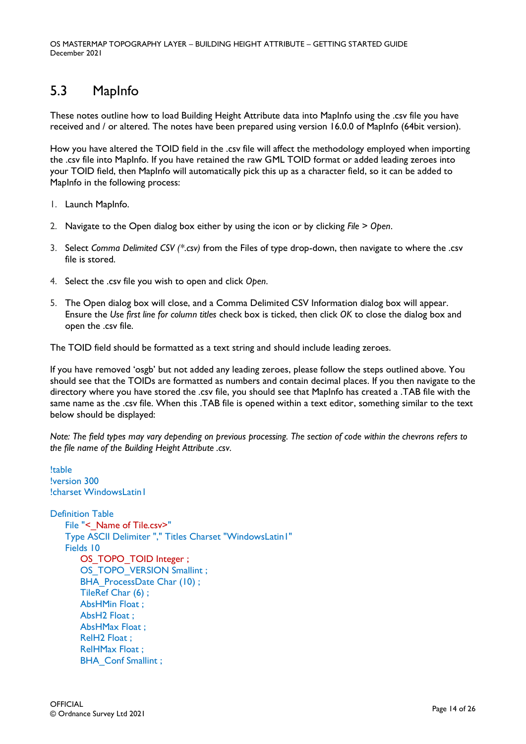# <span id="page-13-0"></span>5.3 MapInfo

These notes outline how to load Building Height Attribute data into MapInfo using the .csv file you have received and / or altered. The notes have been prepared using version 16.0.0 of MapInfo (64bit version).

How you have altered the TOID field in the .csv file will affect the methodology employed when importing the .csv file into MapInfo. If you have retained the raw GML TOID format or added leading zeroes into your TOID field, then MapInfo will automatically pick this up as a character field, so it can be added to MapInfo in the following process:

- 1. Launch MapInfo.
- 2. Navigate to the Open dialog box either by using the icon or by clicking *File* > *Open*.
- 3. Select *Comma Delimited CSV (\*.csv)* from the Files of type drop-down, then navigate to where the .csv file is stored.
- 4. Select the .csv file you wish to open and click *Open*.
- 5. The Open dialog box will close, and a Comma Delimited CSV Information dialog box will appear. Ensure the *Use first line for column titles* check box is ticked, then click *OK* to close the dialog box and open the .csv file.

The TOID field should be formatted as a text string and should include leading zeroes.

If you have removed 'osgb' but not added any leading zeroes, please follow the steps outlined above. You should see that the TOIDs are formatted as numbers and contain decimal places. If you then navigate to the directory where you have stored the .csv file, you should see that MapInfo has created a .TAB file with the same name as the .csv file. When this .TAB file is opened within a text editor, something similar to the text below should be displayed:

*Note: The field types may vary depending on previous processing. The section of code within the chevrons refers to the file name of the Building Height Attribute .csv.*

```
!table
!version 300
!charset WindowsLatin1
Definition Table
   File "< Name of Tile.csv>"
   Type ASCII Delimiter "," Titles Charset "WindowsLatin1" 
   Fields 10
       OS_TOPO_TOID Integer ;
       OS_TOPO_VERSION Smallint ;
       BHA ProcessDate Char (10) ;
       TileRef Char (6) ;
       AbsHMin Float ;
       AbsH2 Float ;
       AbsHMax Float ;
       RelH2 Float ;
       RelHMax Float ;
       BHA Conf Smallint ;
```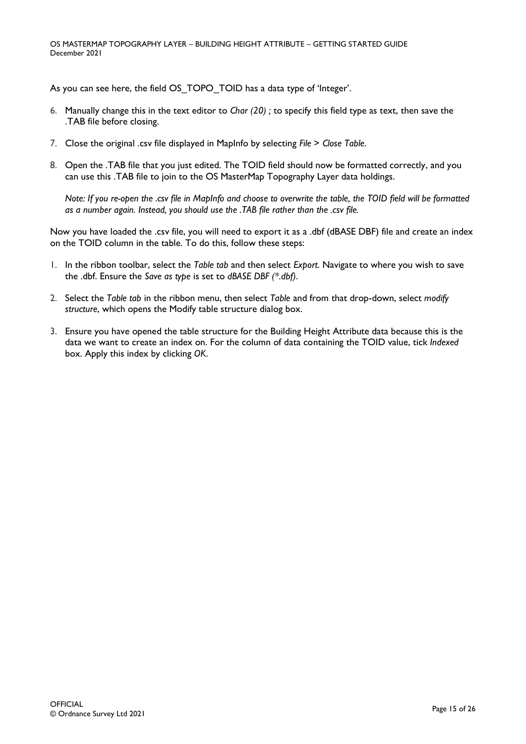As you can see here, the field OS\_TOPO\_TOID has a data type of 'Integer'.

- 6. Manually change this in the text editor to *Char (20) ;* to specify this field type as text, then save the .TAB file before closing.
- 7. Close the original .csv file displayed in MapInfo by selecting *File* > *Close Table*.
- 8. Open the .TAB file that you just edited. The TOID field should now be formatted correctly, and you can use this .TAB file to join to the OS MasterMap Topography Layer data holdings.

*Note: If you re-open the .csv file in MapInfo and choose to overwrite the table, the TOID field will be formatted as a number again. Instead, you should use the .TAB file rather than the .csv file.*

Now you have loaded the .csv file, you will need to export it as a .dbf (dBASE DBF) file and create an index on the TOID column in the table. To do this, follow these steps:

- 1. In the ribbon toolbar, select the *Table tab* and then select *Export*. Navigate to where you wish to save the .dbf. Ensure the *Save as type* is set to *dBASE DBF (\*.dbf)*.
- 2. Select the *Table tab* in the ribbon menu, then select *Table* and from that drop-down, select *modify structure*, which opens the Modify table structure dialog box.
- 3. Ensure you have opened the table structure for the Building Height Attribute data because this is the data we want to create an index on. For the column of data containing the TOID value, tick *Indexed*  box. Apply this index by clicking *OK*.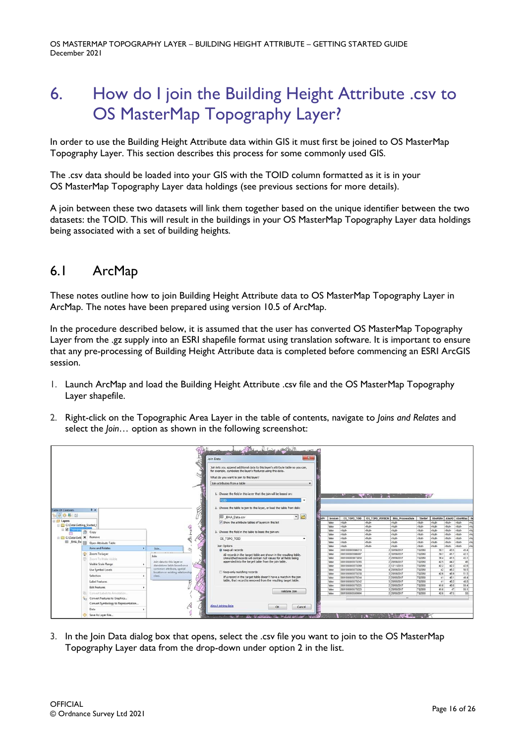# <span id="page-15-0"></span>6. How do I join the Building Height Attribute .csv to OS MasterMap Topography Layer?

In order to use the Building Height Attribute data within GIS it must first be joined to OS MasterMap Topography Layer. This section describes this process for some commonly used GIS.

The .csv data should be loaded into your GIS with the TOID column formatted as it is in your OS MasterMap Topography Layer data holdings (see previous sections for more details).

A join between these two datasets will link them together based on the unique identifier between the two datasets: the TOID. This will result in the buildings in your OS MasterMap Topography Layer data holdings being associated with a set of building heights.

## <span id="page-15-1"></span>6.1 ArcMap

These notes outline how to join Building Height Attribute data to OS MasterMap Topography Layer in ArcMap. The notes have been prepared using version 10.5 of ArcMap.

In the procedure described below, it is assumed that the user has converted OS MasterMap Topography Layer from the .gz supply into an ESRI shapefile format using translation software. It is important to ensure that any pre-processing of Building Height Attribute data is completed before commencing an ESRI ArcGIS session.

- 1. Launch ArcMap and load the Building Height Attribute .csv file and the OS MasterMap Topography Layer shapefile.
- 2. Right-click on the Topographic Area Layer in the table of contents, navigate to *Joins and Relates* and select the *Join…* option as shown in the following screenshot:



3. In the Join Data dialog box that opens, select the .csv file you want to join to the OS MasterMap Topography Layer data from the drop-down under option 2 in the list.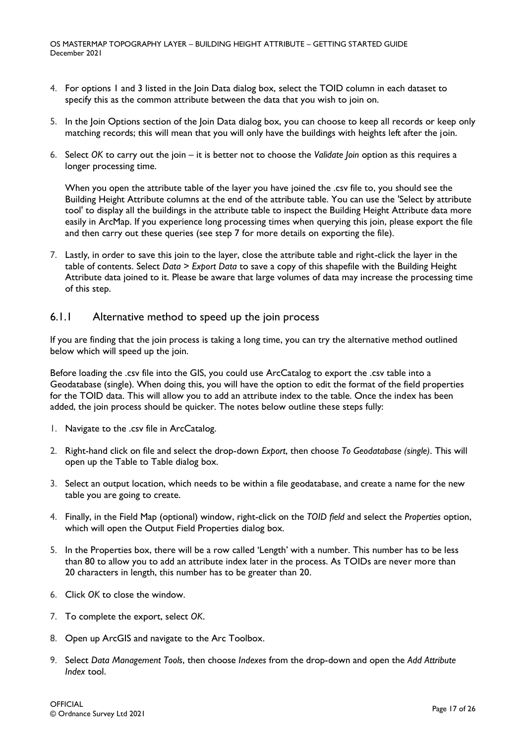- 4. For options 1 and 3 listed in the Join Data dialog box, select the TOID column in each dataset to specify this as the common attribute between the data that you wish to join on.
- 5. In the Join Options section of the Join Data dialog box, you can choose to keep all records or keep only matching records; this will mean that you will only have the buildings with heights left after the join.
- 6. Select *OK* to carry out the join it is better not to choose the *Validate Join* option as this requires a longer processing time.

When you open the attribute table of the layer you have joined the .csv file to, you should see the Building Height Attribute columns at the end of the attribute table. You can use the 'Select by attribute tool' to display all the buildings in the attribute table to inspect the Building Height Attribute data more easily in ArcMap. If you experience long processing times when querying this join, please export the file and then carry out these queries (see step 7 for more details on exporting the file).

7. Lastly, in order to save this join to the layer, close the attribute table and right-click the layer in the table of contents. Select *Data* > *Export Data* to save a copy of this shapefile with the Building Height Attribute data joined to it. Please be aware that large volumes of data may increase the processing time of this step.

## <span id="page-16-0"></span>6.1.1 Alternative method to speed up the join process

If you are finding that the join process is taking a long time, you can try the alternative method outlined below which will speed up the join.

Before loading the .csv file into the GIS, you could use ArcCatalog to export the .csv table into a Geodatabase (single). When doing this, you will have the option to edit the format of the field properties for the TOID data. This will allow you to add an attribute index to the table. Once the index has been added, the join process should be quicker. The notes below outline these steps fully:

- 1. Navigate to the .csv file in ArcCatalog.
- 2. Right-hand click on file and select the drop-down *Export*, then choose *To Geodatabase (single)*. This will open up the Table to Table dialog box.
- 3. Select an output location, which needs to be within a file geodatabase, and create a name for the new table you are going to create.
- 4. Finally, in the Field Map (optional) window, right-click on the *TOID field* and select the *Properties* option, which will open the Output Field Properties dialog box.
- 5. In the Properties box, there will be a row called 'Length' with a number. This number has to be less than 80 to allow you to add an attribute index later in the process. As TOIDs are never more than 20 characters in length, this number has to be greater than 20.
- 6. Click *OK* to close the window.
- 7. To complete the export, select *OK*.
- 8. Open up ArcGIS and navigate to the Arc Toolbox.
- 9. Select *Data Management Tools*, then choose *Indexes* from the drop-down and open the *Add Attribute Index* tool.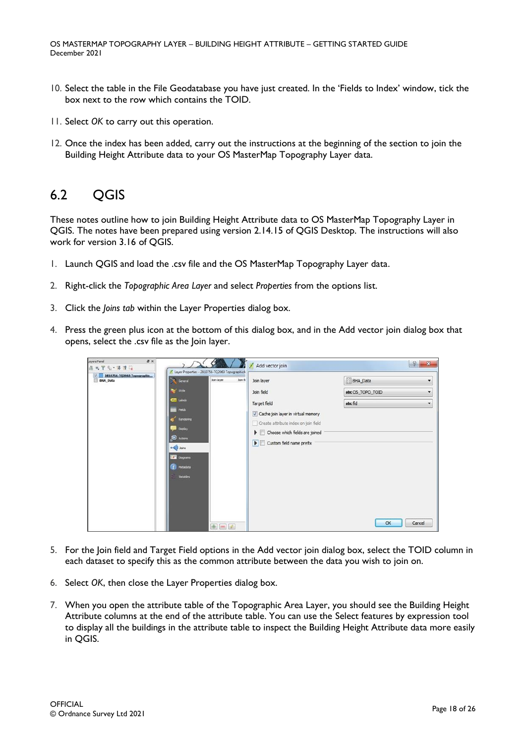- 10. Select the table in the File Geodatabase you have just created. In the 'Fields to Index' window, tick the box next to the row which contains the TOID.
- 11. Select *OK* to carry out this operation.
- 12. Once the index has been added, carry out the instructions at the beginning of the section to join the Building Height Attribute data to your OS MasterMap Topography Layer data.

## <span id="page-17-0"></span>6.2 QGIS

These notes outline how to join Building Height Attribute data to OS MasterMap Topography Layer in QGIS. The notes have been prepared using version 2.14.15 of QGIS Desktop. The instructions will also work for version 3.16 of QGIS.

- 1. Launch QGIS and load the .csv file and the OS MasterMap Topography Layer data.
- 2. Right-click the *Topographic Area Layer* and select *Properties* from the options list.
- 3. Click the *Joins tab* within the Layer Properties dialog box.
- 4. Press the green plus icon at the bottom of this dialog box, and in the Add vector join dialog box that opens, select the .csv file as the Join layer.

| Layers Panel<br><b>B</b> X<br>高元甲元·落津日<br>2810756-T02060 Topographic<br>V.<br><b>BHA_Data</b> | General<br>50/e<br><b>CITY</b> Labels<br>Felds<br>Rendering<br>Display<br><b>C</b> Actions<br>$\sim$ Joins<br><b>Diagrams</b><br><b>Partners</b><br>Variables | / Layer Properties - 2810756-TQ2060 TopographicA<br>Join layer<br>Join fi | Add vector join<br>Join layer<br>Join field<br>Target field<br>Cache join layer in virtual memory<br>Create attribute index on join field<br>Choose which fields are joined<br>$\triangleright$ $\triangleright$ Custom field name prefix | P<br>$\mathbf{x}$<br><b>BHA Data</b><br>۰<br>$\cdot$<br>abc OS_TOPO_TOID<br>abc fid<br>$\overline{\phantom{a}}$ |
|-----------------------------------------------------------------------------------------------|---------------------------------------------------------------------------------------------------------------------------------------------------------------|---------------------------------------------------------------------------|-------------------------------------------------------------------------------------------------------------------------------------------------------------------------------------------------------------------------------------------|-----------------------------------------------------------------------------------------------------------------|
|                                                                                               |                                                                                                                                                               | <b>A</b>                                                                  |                                                                                                                                                                                                                                           | OK<br>Cancel                                                                                                    |

- 5. For the Join field and Target Field options in the Add vector join dialog box, select the TOID column in each dataset to specify this as the common attribute between the data you wish to join on.
- 6. Select *OK*, then close the Layer Properties dialog box.
- 7. When you open the attribute table of the Topographic Area Layer, you should see the Building Height Attribute columns at the end of the attribute table. You can use the Select features by expression tool to display all the buildings in the attribute table to inspect the Building Height Attribute data more easily in QGIS.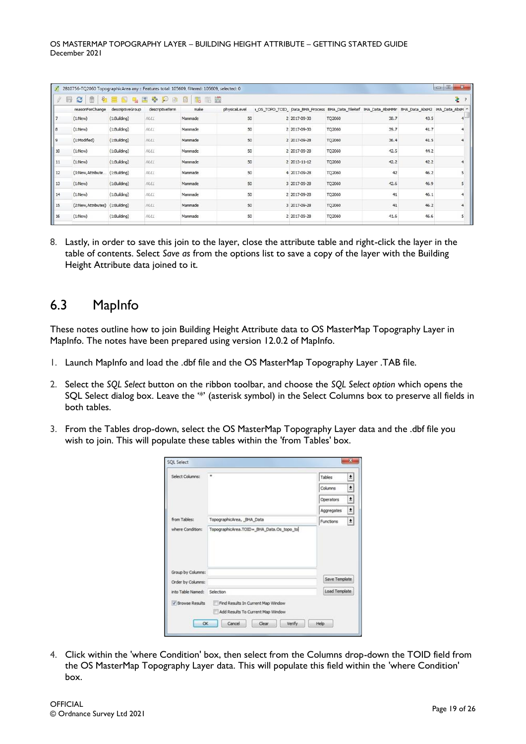|            | 2810756-TQ2060 TopographicArea any :: Features total: 105609, filtered: 105609, selected: 0 |                  |                 |                      |               |              |        |                                                                                                   |      | $\mathbf{x}$<br>$= 0$ |
|------------|---------------------------------------------------------------------------------------------|------------------|-----------------|----------------------|---------------|--------------|--------|---------------------------------------------------------------------------------------------------|------|-----------------------|
|            | 而<br>B<br>₩                                                                                 |                  |                 | <b>右言的电出多少的音 服服器</b> |               |              |        |                                                                                                   |      | ÷.                    |
|            | reasonForChange                                                                             | descriptiveGroup | descriptiveTerm | make                 | physicalLevel |              |        | 1_OS_TOPO_TOID_ Data_BHA_Process BHA_Data_TileRef 3HA_Data_AbsHMir BHA_Data_AbsH2 #IA_Data_AbsH ^ |      |                       |
| $\vert$ .  | (1:New)                                                                                     | (1:Building)     | NALL            | Manmade              | 50            | 2 2017-09-30 | TQ2060 | 38.7                                                                                              | 43.5 |                       |
| 8          | (1:New)                                                                                     | (1:Building)     | NULL            | Manmade              | 50            | 2 2017-09-30 | TQ2060 | 39.7                                                                                              | 41.7 |                       |
| 9          | (1:Modified)                                                                                | (1:Building)     | NULL            | Manmade              | 50            | 2 2017-09-28 | TQ2060 | 36.4                                                                                              | 41.5 |                       |
| 10         | (1:New)                                                                                     | (1:Building)     | NULL            | Manmade              | 50            | 2 2017-09-28 | TQ2060 | 42.5                                                                                              | 44.2 |                       |
| $\vert$ 11 | (1:New)                                                                                     | (1:Building)     | NULL            | Manmade              | 50            | 2 2013-11-12 | TQ2060 | 42.2                                                                                              | 42.2 |                       |
| 12         | (3:New, Attribute (1:Building)                                                              |                  | NULL            | Manmade              | 50            | 4 2017-09-28 | TQ2060 | 42                                                                                                | 46.2 |                       |
| 13         | (1:New)                                                                                     | (1:Building)     | <b>NULL</b>     | Manmade              | 50            | 3 2017-09-28 | TQ2060 | 42.6                                                                                              | 46.9 |                       |
| 14         | (1:New)                                                                                     | (1:Building)     | NULL            | Manmade              | 50            | 2 2017-09-28 | TQ2060 | 41                                                                                                | 46.1 |                       |
| 15         | (2:New, Attributes)                                                                         | (1:Building)     | NULL            | Manmade              | 50            | 3 2017-09-28 | TQ2060 | 41                                                                                                | 46.2 |                       |
| 16         | (1:New)                                                                                     | (1:Building)     | NAL             | Manmade              | 50            | 2 2017-09-28 | TQ2060 | 41.6                                                                                              | 46.6 |                       |

8. Lastly, in order to save this join to the layer, close the attribute table and right-click the layer in the table of contents. Select *Save as* from the options list to save a copy of the layer with the Building Height Attribute data joined to it.

## <span id="page-18-0"></span>6.3 MapInfo

These notes outline how to join Building Height Attribute data to OS MasterMap Topography Layer in MapInfo. The notes have been prepared using version 12.0.2 of MapInfo.

- 1. Launch MapInfo and load the .dbf file and the OS MasterMap Topography Layer .TAB file.
- 2. Select the *SQL Select* button on the ribbon toolbar, and choose the *SQL Select option* which opens the SQL Select dialog box. Leave the '\*' (asterisk symbol) in the Select Columns box to preserve all fields in both tables.
- 3. From the Tables drop-down, select the OS MasterMap Topography Layer data and the .dbf file you wish to join. This will populate these tables within the 'from Tables' box.

| Select Columns:                                                       | ٠                         | Tables        | $\frac{1}{2}$ |
|-----------------------------------------------------------------------|---------------------------|---------------|---------------|
|                                                                       |                           | Columns       | $\pm$         |
|                                                                       |                           | Operators     | $\pm$         |
|                                                                       |                           | Aggregates    | $\pm$         |
| from Tables:                                                          | TopographicArea, BHA Data | Functions     | $\pm$         |
|                                                                       |                           |               |               |
|                                                                       |                           |               |               |
|                                                                       |                           | Save Template |               |
| Group by Columns:<br>Order by Columns:<br>into Table Named: Selection |                           | Load Template |               |

4. Click within the 'where Condition' box, then select from the Columns drop-down the TOID field from the OS MasterMap Topography Layer data. This will populate this field within the 'where Condition' box.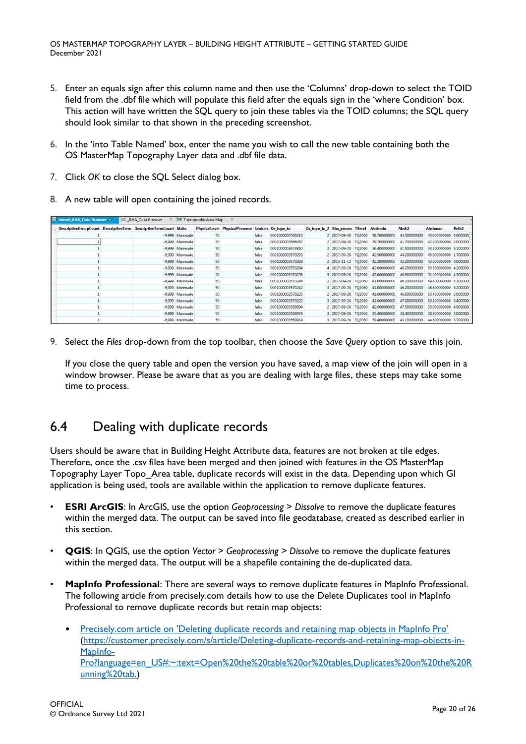- 5. Enter an equals sign after this column name and then use the 'Columns' drop-down to select the TOID field from the .dbf file which will populate this field after the equals sign in the 'where Condition' box. This action will have written the SQL query to join these tables via the TOID columns; the SQL query should look similar to that shown in the preceding screenshot.
- 6. In the 'into Table Named' box, enter the name you wish to call the new table containing both the OS MasterMap Topography Layer data and .dbf file data.
- 7. Click *OK* to close the SQL Select dialog box.
- 8. A new table will open containing the joined records.

| <b>El Joined BHA Data Browser</b> .                             | BHA Data Browser |                | X TopographicArea Map                            |       |                  |                                         |                     |              |                   |                        |                   |
|-----------------------------------------------------------------|------------------|----------------|--------------------------------------------------|-------|------------------|-----------------------------------------|---------------------|--------------|-------------------|------------------------|-------------------|
| DescriptiveGroupCount DescriptiveTerm DescriptiveTermCount Make |                  |                | PhysicalLevel PhysicalPresence broken Os_topo_to |       |                  | Os topo to 2 Bha proces Tileref Abshmin |                     |              | Absh <sub>2</sub> | Abshmax                | Relh <sub>2</sub> |
|                                                                 |                  | -9.999 Manmade | 50                                               | false | 0001000003566210 |                                         | 2 2017-09-30 TQ2060 | 38.700000000 | 43.500000000      | 45,400000000           | 4.8000000         |
|                                                                 |                  | -9.999 Manmade | 50                                               | false | 0001000003566087 |                                         | 2 2017-09-30 TQ2060 | 39,700000000 | 41.700000000      | 42.100000000 2.000000  |                   |
|                                                                 |                  | -9,999 Manmade | 50                                               | false | 0001000003673850 |                                         | 2 2017-09-28 TQ2060 | 36,400000000 | 41.500000000      | 43.100000000 5.100000  |                   |
|                                                                 |                  | -9.999 Manmade | 50                                               | false | 0001000003570293 |                                         | 2 2017-09-28 TQ2060 | 42.500000000 | 44.200000000      | 45.000000000 1.700000  |                   |
|                                                                 |                  | -9,999 Manmade | 50                                               | false | 0001000003570269 |                                         | 2 2013-11-12 TQ2060 | 42,200000000 | 42.200000000      | 42,600000000 0.000000  |                   |
|                                                                 |                  | -9,999 Manmade | 50                                               | false | 0001000003570264 |                                         | 4 2017-09-28 TQ2060 | 42.000000000 | 46.200000000      | 50.500000000 4.200000  |                   |
|                                                                 |                  | -9.999 Manmade | 50                                               | false | 0001000003570258 |                                         | 3 2017-09-28 TQ2060 | 42.600000000 | 46.900000000      | 51.500000000 4.300000  |                   |
|                                                                 |                  | -9,999 Manmade | 50                                               | false | 0001000003570244 |                                         | 2 2017-09-28 TO2060 | 41.000000000 | 46.100000000      | 49,400000000 5.100000  |                   |
|                                                                 |                  | -9.999 Manmade | 50                                               | false | 0001000003570242 |                                         | 3 2017-09-28 TO2060 | 41.000000000 | 46.200000000      | 48.800000000 5.200000  |                   |
|                                                                 |                  | -9,999 Manmade | 50                                               | false | 0001000003570225 |                                         | 2 2017-09-28 TQ2060 | 41.600000000 | 46.600000000      | 50,400000000           | 5.000000          |
|                                                                 |                  | -9.999 Manmade | 50                                               | false | 0001000003570223 |                                         | 3 2017-09-28 TQ2060 | 41,600000000 | 47.000000000      | 50.100000000 5.400000  |                   |
|                                                                 |                  | -9,999 Manmade | 50                                               | false | 0001000003569994 |                                         | 2 2017-09-28 TQ2060 | 42.600000000 | 47.500000000      | 50,000000000 4,900000  |                   |
|                                                                 |                  | -9,999 Manmade | 50                                               | false | 0001000003569974 |                                         | 3 2017-09-28 TQ2060 | 35,400000000 | 38.400000000      | 38.900000000 3.000000  |                   |
|                                                                 |                  | -9.999 Manmade | 50                                               | false | 0001000003569914 |                                         | 2017-09-28 TO2060   | 39.400000000 | 43.100000000      | 44,800000000 3,7000000 |                   |

9. Select the *Files* drop-down from the top toolbar, then choose the *Save Query* option to save this join.

If you close the query table and open the version you have saved, a map view of the join will open in a window browser. Please be aware that as you are dealing with large files, these steps may take some time to process.

## <span id="page-19-0"></span>6.4 Dealing with duplicate records

Users should be aware that in Building Height Attribute data, features are not broken at tile edges. Therefore, once the .csv files have been merged and then joined with features in the OS MasterMap Topography Layer Topo\_Area table, duplicate records will exist in the data. Depending upon which GI application is being used, tools are available within the application to remove duplicate features.

- **ESRI ArcGIS:** In ArcGIS, use the option *Geoprocessing* > Dissolve to remove the duplicate features within the merged data. The output can be saved into file geodatabase, created as described earlier in this section.
- **QGIS**: In QGIS, use the option *Vector* > *Geoprocessing* > *Dissolve* to remove the duplicate features within the merged data. The output will be a shapefile containing the de-duplicated data.
- **MapInfo Professional**: There are several ways to remove duplicate features in MapInfo Professional. The following article from precisely.com details how to use the Delete Duplicates tool in MapInfo Professional to remove duplicate records but retain map objects:
	- [Precisely.com article on 'Deleting duplicate records and retaining map objects in MapInfo Pro'](https://customer.precisely.com/s/article/Deleting-duplicate-records-and-retaining-map-objects-in-MapInfo-Pro?language=en_US#:~:text=Open%20the%20table%20or%20tables,Duplicates%20on%20the%20Running%20tab.) [\(https://customer.precisely.com/s/article/Deleting-duplicate-records-and-retaining-map-objects-in-](https://customer.precisely.com/s/article/Deleting-duplicate-records-and-retaining-map-objects-in-MapInfo-Pro?language=en_US#:~:text=Open%20the%20table%20or%20tables,Duplicates%20on%20the%20Running%20tab.)[MapInfo-](https://customer.precisely.com/s/article/Deleting-duplicate-records-and-retaining-map-objects-in-MapInfo-Pro?language=en_US#:~:text=Open%20the%20table%20or%20tables,Duplicates%20on%20the%20Running%20tab.)[Pro?language=en\\_US#:~:text=Open%20the%20table%20or%20tables,Duplicates%20on%20the%20R](https://customer.precisely.com/s/article/Deleting-duplicate-records-and-retaining-map-objects-in-MapInfo-Pro?language=en_US#:~:text=Open%20the%20table%20or%20tables,Duplicates%20on%20the%20Running%20tab.) [unning%20tab.\)](https://customer.precisely.com/s/article/Deleting-duplicate-records-and-retaining-map-objects-in-MapInfo-Pro?language=en_US#:~:text=Open%20the%20table%20or%20tables,Duplicates%20on%20the%20Running%20tab.)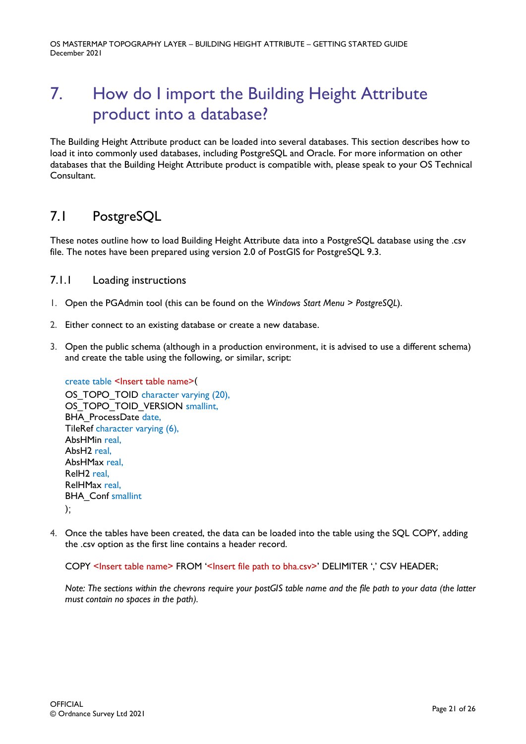# <span id="page-20-0"></span>7. How do I import the Building Height Attribute product into a database?

The Building Height Attribute product can be loaded into several databases. This section describes how to load it into commonly used databases, including PostgreSQL and Oracle. For more information on other databases that the Building Height Attribute product is compatible with, please speak to your OS Technical Consultant.

# <span id="page-20-1"></span>7.1 PostgreSQL

These notes outline how to load Building Height Attribute data into a PostgreSQL database using the .csv file. The notes have been prepared using version 2.0 of PostGIS for PostgreSQL 9.3.

## <span id="page-20-2"></span>7.1.1 Loading instructions

- 1. Open the PGAdmin tool (this can be found on the *Windows Start Menu* > *PostgreSQL*).
- 2. Either connect to an existing database or create a new database.
- 3. Open the public schema (although in a production environment, it is advised to use a different schema) and create the table using the following, or similar, script:

create table <Insert table name>( OS\_TOPO\_TOID character varying (20), OS\_TOPO\_TOID\_VERSION smallint, BHA ProcessDate date, TileRef character varying (6), AbsHMin real, AbsH2 real, AbsHMax real, RelH2 real, RelHMax real, **BHA** Conf smallint );

4. Once the tables have been created, the data can be loaded into the table using the SQL COPY, adding the .csv option as the first line contains a header record.

COPY <Insert table name> FROM '<Insert file path to bha.csv>' DELIMITER ',' CSV HEADER;

*Note: The sections within the chevrons require your postGIS table name and the file path to your data (the latter must contain no spaces in the path).*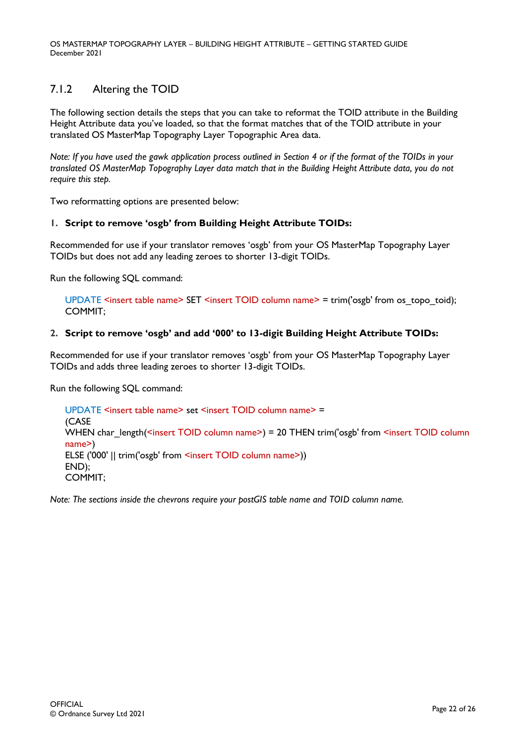## <span id="page-21-0"></span>7.1.2 Altering the TOID

The following section details the steps that you can take to reformat the TOID attribute in the Building Height Attribute data you've loaded, so that the format matches that of the TOID attribute in your translated OS MasterMap Topography Layer Topographic Area data.

*Note: If you have used the gawk application process outlined in Section 4 or if the format of the TOIDs in your translated OS MasterMap Topography Layer data match that in the Building Height Attribute data, you do not require this step.*

Two reformatting options are presented below:

#### **1. Script to remove 'osgb' from Building Height Attribute TOIDs:**

Recommended for use if your translator removes 'osgb' from your OS MasterMap Topography Layer TOIDs but does not add any leading zeroes to shorter 13-digit TOIDs.

Run the following SQL command:

UPDATE <insert table name> SET <insert TOID column name> = trim('osgb' from os\_topo\_toid); COMMIT;

### **2. Script to remove 'osgb' and add '000' to 13-digit Building Height Attribute TOIDs:**

Recommended for use if your translator removes 'osgb' from your OS MasterMap Topography Layer TOIDs and adds three leading zeroes to shorter 13-digit TOIDs.

Run the following SQL command:

UPDATE <insert table name> set <insert TOID column name> = (CASE WHEN char\_length(<insert TOID column name>) = 20 THEN trim('osgb' from <insert TOID column name>) ELSE ('000' || trim('osgb' from <insert TOID column name>)) END); COMMIT;

*Note: The sections inside the chevrons require your postGIS table name and TOID column name.*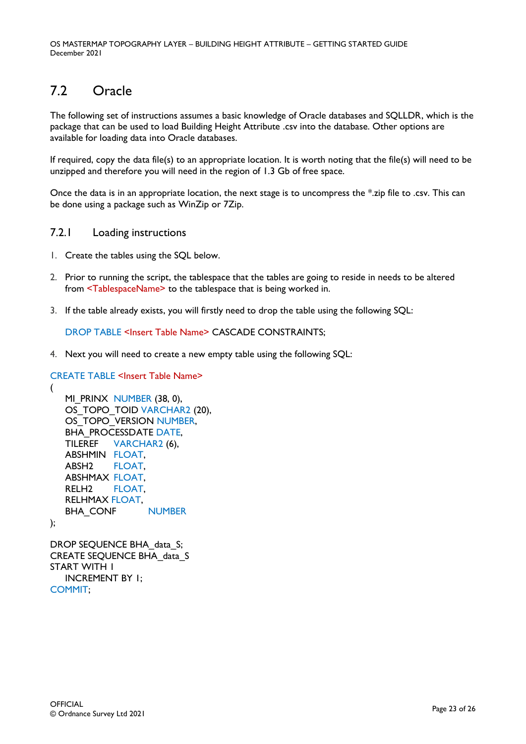# <span id="page-22-0"></span>7.2 Oracle

The following set of instructions assumes a basic knowledge of Oracle databases and SQLLDR, which is the package that can be used to load Building Height Attribute .csv into the database. Other options are available for loading data into Oracle databases.

If required, copy the data file(s) to an appropriate location. It is worth noting that the file(s) will need to be unzipped and therefore you will need in the region of 1.3 Gb of free space.

Once the data is in an appropriate location, the next stage is to uncompress the \*.zip file to .csv. This can be done using a package such as WinZip or 7Zip.

### <span id="page-22-1"></span>7.2.1 Loading instructions

- 1. Create the tables using the SQL below.
- 2. Prior to running the script, the tablespace that the tables are going to reside in needs to be altered from <TablespaceName> to the tablespace that is being worked in.
- 3. If the table already exists, you will firstly need to drop the table using the following SQL:

DROP TABLE <Insert Table Name> CASCADE CONSTRAINTS;

4. Next you will need to create a new empty table using the following SQL:

```
CREATE TABLE <Insert Table Name>
(
   MI_PRINX NUMBER (38, 0),
```

```
OS_TOPO_TOID VARCHAR2 (20),
OS TOPO VERSION NUMBER,
BHA_PROCESSDATE DATE,
TILEREF VARCHAR2 (6),
ABSHMIN FLOAT,
ABSH2 FLOAT,
ABSHMAX FLOAT,
RELH2 FLOAT, 
RELHMAX FLOAT,
BHA_CONF NUMBER
```

```
DROP SEQUENCE BHA_data_S;
CREATE SEQUENCE BHA_data_S
START WITH 1
  INCREMENT BY 1;
COMMIT;
```
);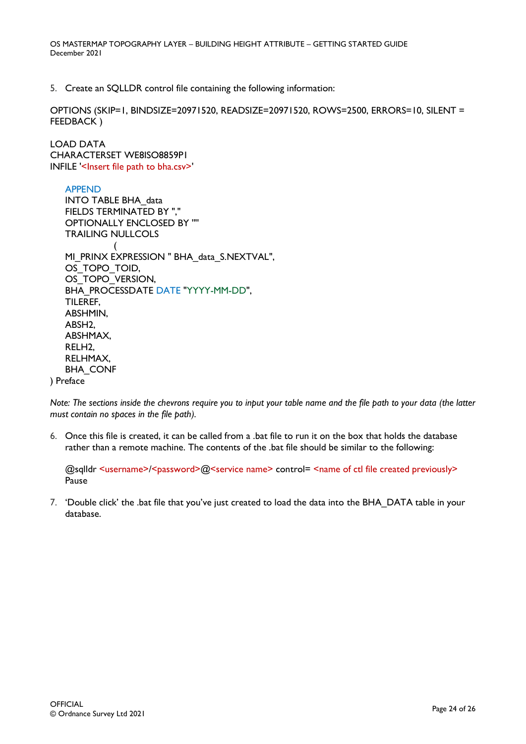5. Create an SQLLDR control file containing the following information:

OPTIONS (SKIP=1, BINDSIZE=20971520, READSIZE=20971520, ROWS=2500, ERRORS=10, SILENT = FEEDBACK )

LOAD DATA CHARACTERSET WE8ISO8859P1 INFILE '<Insert file path to bha.csv>'

APPEND INTO TABLE BHA\_data FIELDS TERMINATED BY "," OPTIONALLY ENCLOSED BY '"' TRAILING NULLCOLS ( MI\_PRINX EXPRESSION " BHA\_data\_S.NEXTVAL", OS TOPO TOID, OS\_TOPO\_VERSION, BHA\_PROCESSDATE DATE "YYYY-MM-DD", TILEREF, ABSHMIN, ABSH2, ABSHMAX, RELH2, RELHMAX, BHA\_CONF ) Preface

*Note: The sections inside the chevrons require you to input your table name and the file path to your data (the latter must contain no spaces in the file path).*

6. Once this file is created, it can be called from a .bat file to run it on the box that holds the database rather than a remote machine. The contents of the .bat file should be similar to the following:

@sqlldr <username>/<password>@<service name> control= <name of ctl file created previously> Pause

7. 'Double click' the .bat file that you've just created to load the data into the BHA\_DATA table in your database.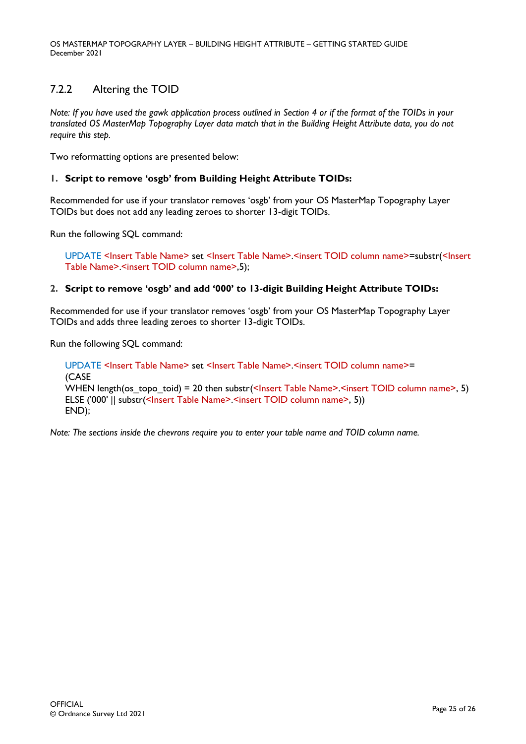## <span id="page-24-0"></span>7.2.2 Altering the TOID

*Note: If you have used the gawk application process outlined in Section 4 or if the format of the TOIDs in your translated OS MasterMap Topography Layer data match that in the Building Height Attribute data, you do not require this step.*

Two reformatting options are presented below:

#### **1. Script to remove 'osgb' from Building Height Attribute TOIDs:**

Recommended for use if your translator removes 'osgb' from your OS MasterMap Topography Layer TOIDs but does not add any leading zeroes to shorter 13-digit TOIDs.

Run the following SQL command:

UPDATE <Insert Table Name> set <Insert Table Name>.<insert TOID column name>=substr(<Insert Table Name>.<insert TOID column name>.5);

### **2. Script to remove 'osgb' and add '000' to 13-digit Building Height Attribute TOIDs:**

Recommended for use if your translator removes 'osgb' from your OS MasterMap Topography Layer TOIDs and adds three leading zeroes to shorter 13-digit TOIDs.

Run the following SQL command:

UPDATE <Insert Table Name> set <Insert Table Name>.<insert TOID column name>= (CASE WHEN length(os topo toid) = 20 then substr(<Insert Table Name>.<insert TOID column name>, 5) ELSE ('000' || substr(<Insert Table Name>.<insert TOID column name>, 5)) END);

*Note: The sections inside the chevrons require you to enter your table name and TOID column name.*